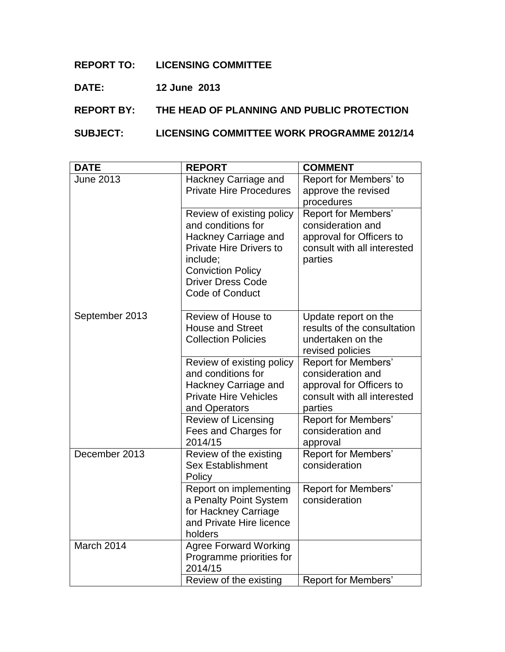## **REPORT TO: LICENSING COMMITTEE**

## **DATE: 12 June 2013**

## **REPORT BY: THE HEAD OF PLANNING AND PUBLIC PROTECTION**

## **SUBJECT: LICENSING COMMITTEE WORK PROGRAMME 2012/14**

| <b>DATE</b>      | <b>REPORT</b>                                                                                                                                                                                    | <b>COMMENT</b>                                                                                                        |
|------------------|--------------------------------------------------------------------------------------------------------------------------------------------------------------------------------------------------|-----------------------------------------------------------------------------------------------------------------------|
| <b>June 2013</b> | Hackney Carriage and<br><b>Private Hire Procedures</b>                                                                                                                                           | Report for Members' to<br>approve the revised<br>procedures                                                           |
|                  | Review of existing policy<br>and conditions for<br>Hackney Carriage and<br><b>Private Hire Drivers to</b><br>include;<br><b>Conviction Policy</b><br><b>Driver Dress Code</b><br>Code of Conduct | <b>Report for Members'</b><br>consideration and<br>approval for Officers to<br>consult with all interested<br>parties |
| September 2013   | Review of House to<br><b>House and Street</b><br><b>Collection Policies</b>                                                                                                                      | Update report on the<br>results of the consultation<br>undertaken on the<br>revised policies                          |
|                  | Review of existing policy<br>and conditions for<br>Hackney Carriage and<br><b>Private Hire Vehicles</b><br>and Operators                                                                         | <b>Report for Members'</b><br>consideration and<br>approval for Officers to<br>consult with all interested<br>parties |
|                  | Review of Licensing<br>Fees and Charges for<br>2014/15                                                                                                                                           | Report for Members'<br>consideration and<br>approval                                                                  |
| December 2013    | Review of the existing<br><b>Sex Establishment</b><br>Policy                                                                                                                                     | <b>Report for Members'</b><br>consideration                                                                           |
|                  | Report on implementing<br>a Penalty Point System<br>for Hackney Carriage<br>and Private Hire licence<br>holders                                                                                  | Report for Members'<br>consideration                                                                                  |
| March 2014       | <b>Agree Forward Working</b><br>Programme priorities for<br>2014/15                                                                                                                              |                                                                                                                       |
|                  | Review of the existing                                                                                                                                                                           | <b>Report for Members'</b>                                                                                            |